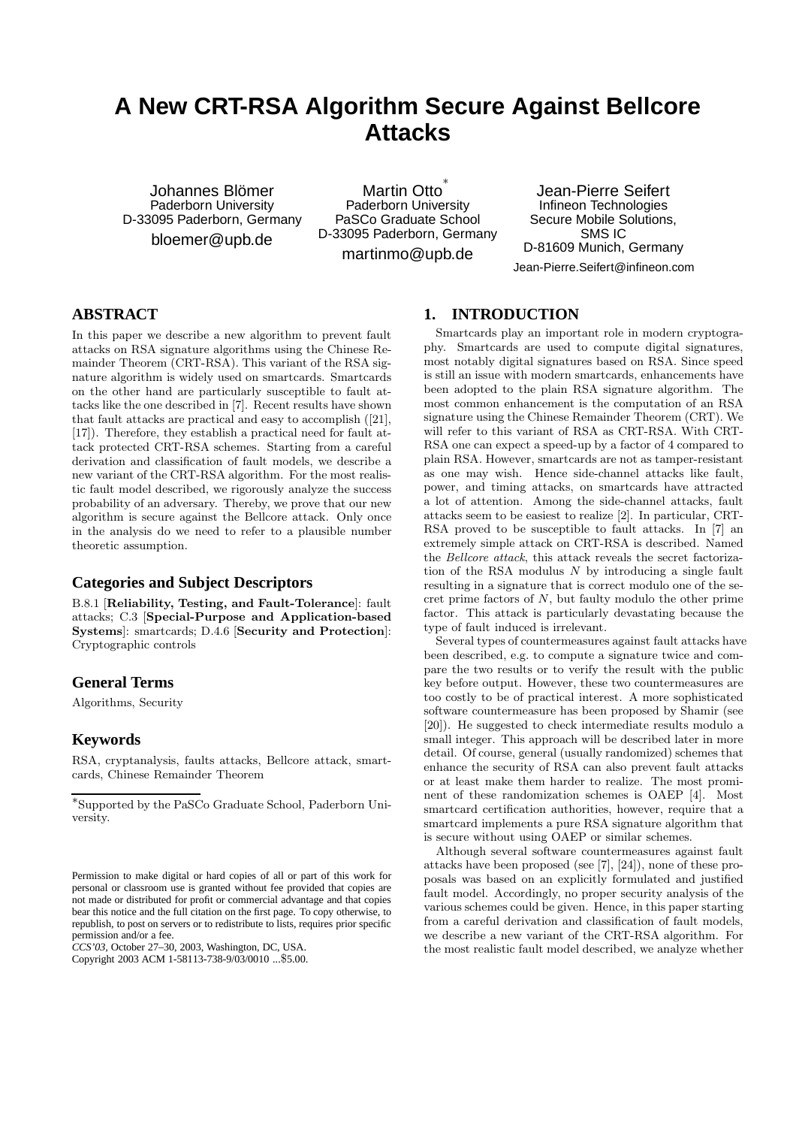# **A New CRT-RSA Algorithm Secure Against Bellcore Attacks**

Johannes Blömer Paderborn University D-33095 Paderborn, Germany bloemer@upb.de

Martin Otto ∗ Paderborn University PaSCo Graduate School D-33095 Paderborn, Germany

martinmo@upb.de

Jean-Pierre Seifert Infineon Technologies Secure Mobile Solutions, SMS IC D-81609 Munich, Germany Jean-Pierre.Seifert@infineon.com

# **ABSTRACT**

In this paper we describe a new algorithm to prevent fault attacks on RSA signature algorithms using the Chinese Remainder Theorem (CRT-RSA). This variant of the RSA signature algorithm is widely used on smartcards. Smartcards on the other hand are particularly susceptible to fault attacks like the one described in [7]. Recent results have shown that fault attacks are practical and easy to accomplish ([21], [17]). Therefore, they establish a practical need for fault attack protected CRT-RSA schemes. Starting from a careful derivation and classification of fault models, we describe a new variant of the CRT-RSA algorithm. For the most realistic fault model described, we rigorously analyze the success probability of an adversary. Thereby, we prove that our new algorithm is secure against the Bellcore attack. Only once in the analysis do we need to refer to a plausible number theoretic assumption.

# **Categories and Subject Descriptors**

B.8.1 [Reliability, Testing, and Fault-Tolerance]: fault attacks; C.3 [Special-Purpose and Application-based Systems]: smartcards; D.4.6 [Security and Protection]: Cryptographic controls

# **General Terms**

Algorithms, Security

### **Keywords**

RSA, cryptanalysis, faults attacks, Bellcore attack, smartcards, Chinese Remainder Theorem

*CCS'03,* October 27–30, 2003, Washington, DC, USA.

Copyright 2003 ACM 1-58113-738-9/03/0010 ...\$5.00.

### **1. INTRODUCTION**

Smartcards play an important role in modern cryptography. Smartcards are used to compute digital signatures, most notably digital signatures based on RSA. Since speed is still an issue with modern smartcards, enhancements have been adopted to the plain RSA signature algorithm. The most common enhancement is the computation of an RSA signature using the Chinese Remainder Theorem (CRT). We will refer to this variant of RSA as CRT-RSA. With CRT-RSA one can expect a speed-up by a factor of 4 compared to plain RSA. However, smartcards are not as tamper-resistant as one may wish. Hence side-channel attacks like fault, power, and timing attacks, on smartcards have attracted a lot of attention. Among the side-channel attacks, fault attacks seem to be easiest to realize [2]. In particular, CRT-RSA proved to be susceptible to fault attacks. In [7] an extremely simple attack on CRT-RSA is described. Named the Bellcore attack, this attack reveals the secret factorization of the RSA modulus  $N$  by introducing a single fault resulting in a signature that is correct modulo one of the secret prime factors of N, but faulty modulo the other prime factor. This attack is particularly devastating because the type of fault induced is irrelevant.

Several types of countermeasures against fault attacks have been described, e.g. to compute a signature twice and compare the two results or to verify the result with the public key before output. However, these two countermeasures are too costly to be of practical interest. A more sophisticated software countermeasure has been proposed by Shamir (see [20]). He suggested to check intermediate results modulo a small integer. This approach will be described later in more detail. Of course, general (usually randomized) schemes that enhance the security of RSA can also prevent fault attacks or at least make them harder to realize. The most prominent of these randomization schemes is OAEP [4]. Most smartcard certification authorities, however, require that a smartcard implements a pure RSA signature algorithm that is secure without using OAEP or similar schemes.

Although several software countermeasures against fault attacks have been proposed (see [7], [24]), none of these proposals was based on an explicitly formulated and justified fault model. Accordingly, no proper security analysis of the various schemes could be given. Hence, in this paper starting from a careful derivation and classification of fault models, we describe a new variant of the CRT-RSA algorithm. For the most realistic fault model described, we analyze whether

<sup>∗</sup> Supported by the PaSCo Graduate School, Paderborn University.

Permission to make digital or hard copies of all or part of this work for personal or classroom use is granted without fee provided that copies are not made or distributed for profit or commercial advantage and that copies bear this notice and the full citation on the first page. To copy otherwise, to republish, to post on servers or to redistribute to lists, requires prior specific permission and/or a fee.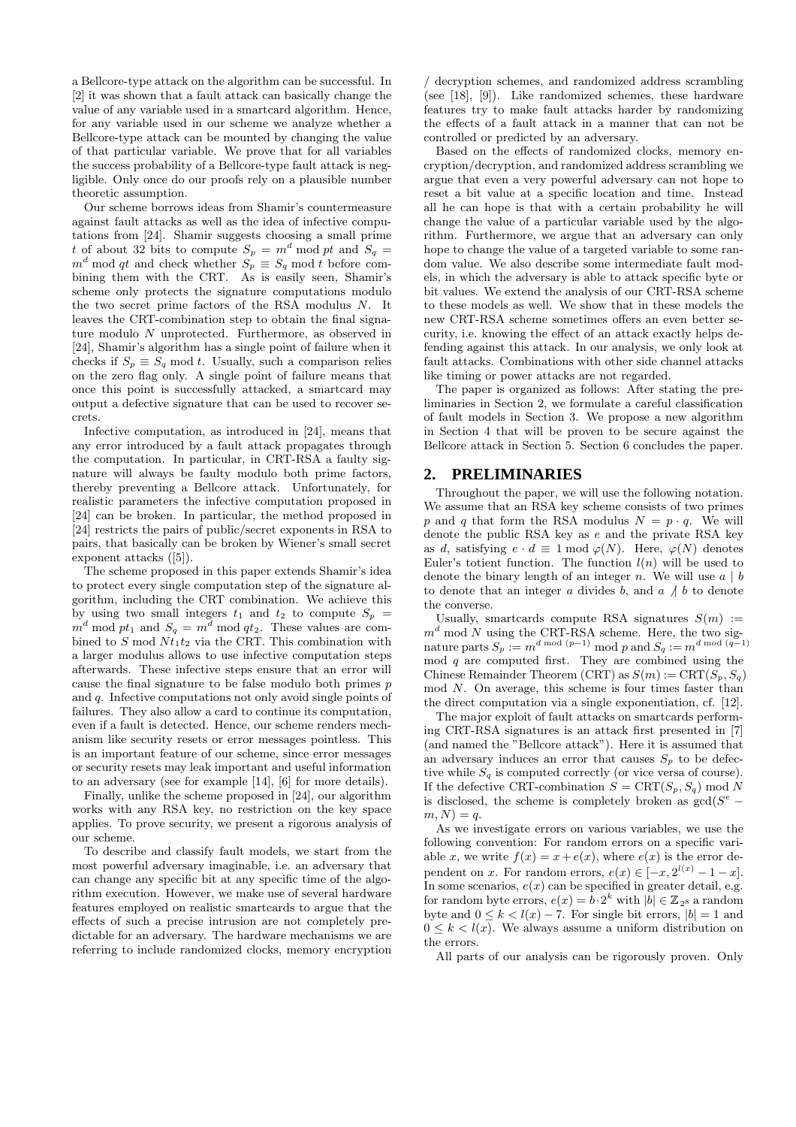a Bellcore-type attack on the algorithm can be successful. In [2] it was shown that a fault attack can basically change the value of any variable used in a smartcard algorithm. Hence, for any variable used in our scheme we analyze whether a Bellcore-type attack can be mounted by changing the value of that particular variable. We prove that for all variables the success probability of a Bellcore-type fault attack is negligible. Only once do our proofs rely on a plausible number theoretic assumption.

Our scheme borrows ideas from Shamir's countermeasure against fault attacks as well as the idea of infective computations from [24]. Shamir suggests choosing a small prime t of about 32 bits to compute  $S_p = m^d \mod pt$  and  $S_q =$  $m^d$  mod qt and check whether  $S_p \equiv S_q$  mod t before combining them with the CRT. As is easily seen, Shamir's scheme only protects the signature computations modulo the two secret prime factors of the RSA modulus N. It leaves the CRT-combination step to obtain the final signature modulo N unprotected. Furthermore, as observed in [24], Shamir's algorithm has a single point of failure when it checks if  $S_p \equiv \overline{S_q} \mod t$ . Usually, such a comparison relies on the zero flag only. A single point of failure means that once this point is successfully attacked, a smartcard may output a defective signature that can be used to recover secrets.

Infective computation, as introduced in [24], means that any error introduced by a fault attack propagates through the computation. In particular, in CRT-RSA a faulty signature will always be faulty modulo both prime factors, thereby preventing a Bellcore attack. Unfortunately, for realistic parameters the infective computation proposed in [24] can be broken. In particular, the method proposed in [24] restricts the pairs of public/secret exponents in RSA to pairs, that basically can be broken by Wiener's small secret exponent attacks ([5]).

The scheme proposed in this paper extends Shamir's idea to protect every single computation step of the signature algorithm, including the CRT combination. We achieve this by using two small integers  $t_1$  and  $t_2$  to compute  $S_p$  =  $m^d \mod pt_1$  and  $S_q = m^d \mod qt_2$ . These values are combined to S mod  $Nt_1t_2$  via the CRT. This combination with a larger modulus allows to use infective computation steps afterwards. These infective steps ensure that an error will cause the final signature to be false modulo both primes p and q. Infective computations not only avoid single points of failures. They also allow a card to continue its computation, even if a fault is detected. Hence, our scheme renders mechanism like security resets or error messages pointless. This is an important feature of our scheme, since error messages or security resets may leak important and useful information to an adversary (see for example [14], [6] for more details).

Finally, unlike the scheme proposed in [24], our algorithm works with any RSA key, no restriction on the key space applies. To prove security, we present a rigorous analysis of our scheme.

To describe and classify fault models, we start from the most powerful adversary imaginable, i.e. an adversary that can change any specific bit at any specific time of the algorithm execution. However, we make use of several hardware features employed on realistic smartcards to argue that the effects of such a precise intrusion are not completely predictable for an adversary. The hardware mechanisms we are referring to include randomized clocks, memory encryption / decryption schemes, and randomized address scrambling (see [18], [9]). Like randomized schemes, these hardware features try to make fault attacks harder by randomizing the effects of a fault attack in a manner that can not be controlled or predicted by an adversary.

Based on the effects of randomized clocks, memory encryption/decryption, and randomized address scrambling we argue that even a very powerful adversary can not hope to reset a bit value at a specific location and time. Instead all he can hope is that with a certain probability he will change the value of a particular variable used by the algorithm. Furthermore, we argue that an adversary can only hope to change the value of a targeted variable to some random value. We also describe some intermediate fault models, in which the adversary is able to attack specific byte or bit values. We extend the analysis of our CRT-RSA scheme to these models as well. We show that in these models the new CRT-RSA scheme sometimes offers an even better security, i.e. knowing the effect of an attack exactly helps defending against this attack. In our analysis, we only look at fault attacks. Combinations with other side channel attacks like timing or power attacks are not regarded.

The paper is organized as follows: After stating the preliminaries in Section 2, we formulate a careful classification of fault models in Section 3. We propose a new algorithm in Section 4 that will be proven to be secure against the Bellcore attack in Section 5. Section 6 concludes the paper.

### **2. PRELIMINARIES**

Throughout the paper, we will use the following notation. We assume that an RSA key scheme consists of two primes p and q that form the RSA modulus  $N = p \cdot q$ . We will denote the public RSA key as e and the private RSA key as d, satisfying  $e \cdot d \equiv 1 \mod \varphi(N)$ . Here,  $\varphi(N)$  denotes Euler's totient function. The function  $l(n)$  will be used to denote the binary length of an integer n. We will use  $a \mid b$ to denote that an integer  $a$  divides  $b$ , and  $a \nmid b$  to denote the converse.

Usually, smartcards compute RSA signatures  $S(m) :=$  $m<sup>d</sup>$  mod N using the CRT-RSA scheme. Here, the two signature parts  $S_p := m^{d \bmod (p-1)} \bmod p$  and  $S_q := m^{d \bmod (q-1)}$ mod  $\hat{q}$  are computed first. They are combined using the Chinese Remainder Theorem (CRT) as  $S(m) := \text{CRT}(S_p, S_q)$ mod N. On average, this scheme is four times faster than the direct computation via a single exponentiation, cf. [12].

The major exploit of fault attacks on smartcards performing CRT-RSA signatures is an attack first presented in [7] (and named the "Bellcore attack"). Here it is assumed that an adversary induces an error that causes  $S_p$  to be defective while  $S_q$  is computed correctly (or vice versa of course). If the defective CRT-combination  $S = \text{CRT}(S_p, S_q) \text{ mod } N$ is disclosed, the scheme is completely broken as  $gcd(S^e$  $m, N$ ) = q.

As we investigate errors on various variables, we use the following convention: For random errors on a specific variable x, we write  $f(x) = x + e(x)$ , where  $e(x)$  is the error dependent on x. For random errors,  $e(x) \in [-x, 2^{l(x)} - 1 - x]$ . In some scenarios,  $e(x)$  can be specified in greater detail, e.g. for random byte errors,  $e(x) = b \cdot 2^k$  with  $|b| \in \mathbb{Z}_{2^8}$  a random byte and  $0 \le k < l(x) - 7$ . For single bit errors,  $|b| = 1$  and  $0 \leq k < l(x)$ . We always assume a uniform distribution on the errors.

All parts of our analysis can be rigorously proven. Only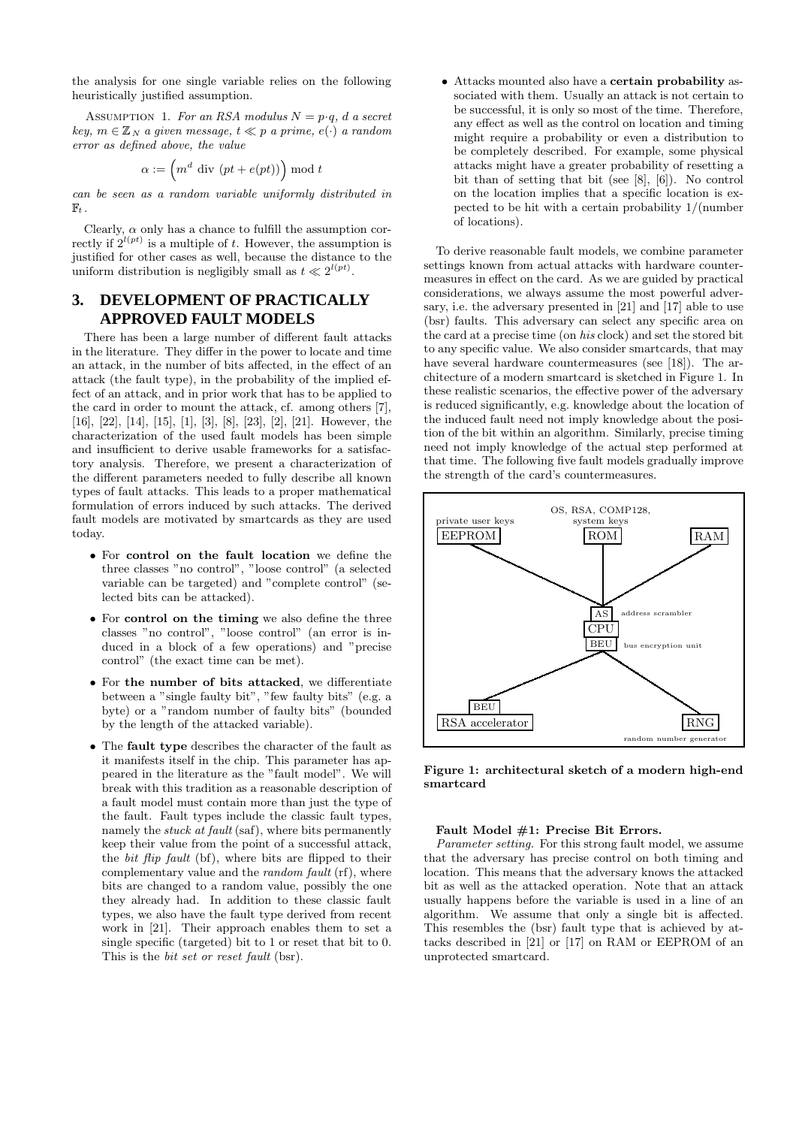the analysis for one single variable relies on the following heuristically justified assumption.

ASSUMPTION 1. For an RSA modulus  $N = p \cdot a$ , d a secret  $key, m \in \mathbb{Z}_N$  a given message,  $t \ll p$  a prime,  $e(\cdot)$  a random error as defined above, the value

$$
\alpha := \left( m^d \text{ div } (pt + e(pt)) \right) \bmod t
$$

can be seen as a random variable uniformly distributed in  $\mathbb{F}_t$  .

Clearly,  $\alpha$  only has a chance to fulfill the assumption correctly if  $2^{l(pt)}$  is a multiple of t. However, the assumption is justified for other cases as well, because the distance to the uniform distribution is negligibly small as  $t \ll 2^{l(pt)}$ .

# **3. DEVELOPMENT OF PRACTICALLY APPROVED FAULT MODELS**

There has been a large number of different fault attacks in the literature. They differ in the power to locate and time an attack, in the number of bits affected, in the effect of an attack (the fault type), in the probability of the implied effect of an attack, and in prior work that has to be applied to the card in order to mount the attack, cf. among others [7], [16], [22], [14], [15], [1], [3], [8], [23], [2], [21]. However, the characterization of the used fault models has been simple and insufficient to derive usable frameworks for a satisfactory analysis. Therefore, we present a characterization of the different parameters needed to fully describe all known types of fault attacks. This leads to a proper mathematical formulation of errors induced by such attacks. The derived fault models are motivated by smartcards as they are used today.

- For control on the fault location we define the three classes "no control", "loose control" (a selected variable can be targeted) and "complete control" (selected bits can be attacked).
- For control on the timing we also define the three classes "no control", "loose control" (an error is induced in a block of a few operations) and "precise control" (the exact time can be met).
- For the number of bits attacked, we differentiate between a "single faulty bit", "few faulty bits" (e.g. a byte) or a "random number of faulty bits" (bounded by the length of the attacked variable).
- The **fault type** describes the character of the fault as it manifests itself in the chip. This parameter has appeared in the literature as the "fault model". We will break with this tradition as a reasonable description of a fault model must contain more than just the type of the fault. Fault types include the classic fault types, namely the *stuck at fault* (saf), where bits permanently keep their value from the point of a successful attack, the bit flip fault (bf), where bits are flipped to their complementary value and the random fault (rf), where bits are changed to a random value, possibly the one they already had. In addition to these classic fault types, we also have the fault type derived from recent work in [21]. Their approach enables them to set a single specific (targeted) bit to 1 or reset that bit to 0. This is the *bit set or reset fault* (bsr).

• Attacks mounted also have a certain probability associated with them. Usually an attack is not certain to be successful, it is only so most of the time. Therefore, any effect as well as the control on location and timing might require a probability or even a distribution to be completely described. For example, some physical attacks might have a greater probability of resetting a bit than of setting that bit (see [8], [6]). No control on the location implies that a specific location is expected to be hit with a certain probability 1/(number of locations).

To derive reasonable fault models, we combine parameter settings known from actual attacks with hardware countermeasures in effect on the card. As we are guided by practical considerations, we always assume the most powerful adversary, i.e. the adversary presented in [21] and [17] able to use (bsr) faults. This adversary can select any specific area on the card at a precise time (on his clock) and set the stored bit to any specific value. We also consider smartcards, that may have several hardware countermeasures (see [18]). The architecture of a modern smartcard is sketched in Figure 1. In these realistic scenarios, the effective power of the adversary is reduced significantly, e.g. knowledge about the location of the induced fault need not imply knowledge about the position of the bit within an algorithm. Similarly, precise timing need not imply knowledge of the actual step performed at that time. The following five fault models gradually improve the strength of the card's countermeasures.



Figure 1: architectural sketch of a modern high-end smartcard

#### Fault Model #1: Precise Bit Errors.

Parameter setting. For this strong fault model, we assume that the adversary has precise control on both timing and location. This means that the adversary knows the attacked bit as well as the attacked operation. Note that an attack usually happens before the variable is used in a line of an algorithm. We assume that only a single bit is affected. This resembles the (bsr) fault type that is achieved by attacks described in [21] or [17] on RAM or EEPROM of an unprotected smartcard.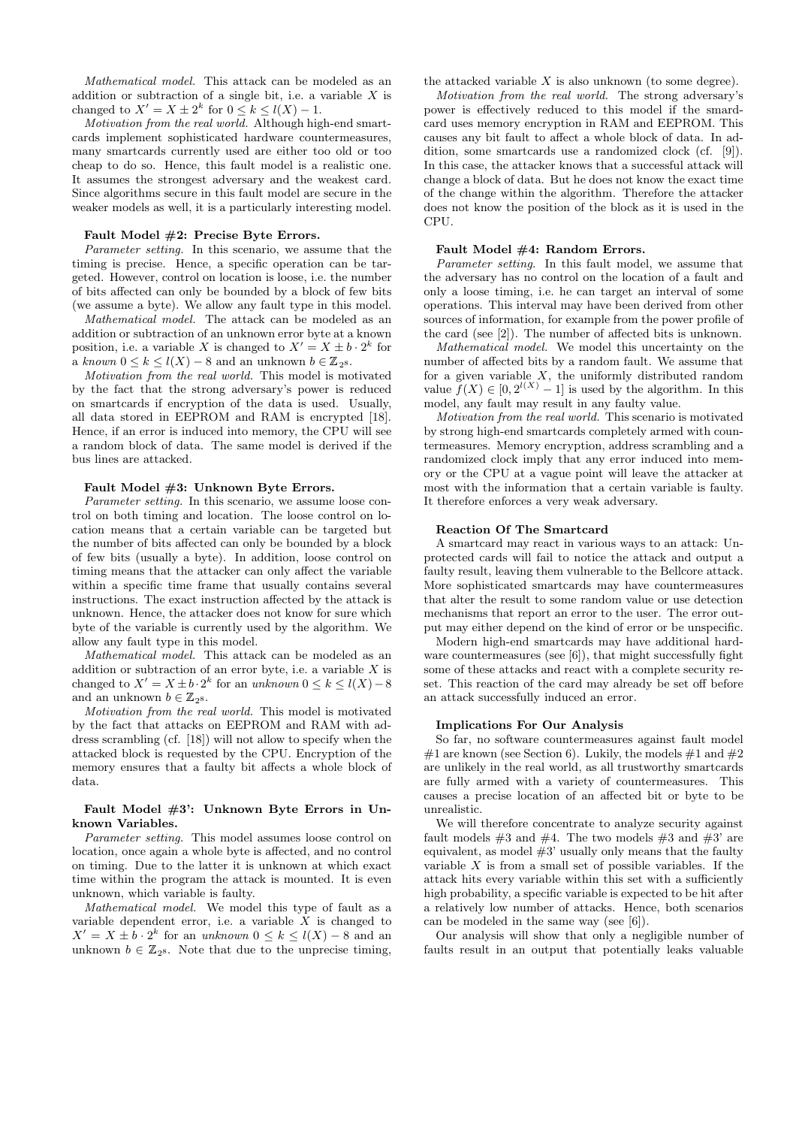Mathematical model. This attack can be modeled as an addition or subtraction of a single bit, i.e. a variable  $X$  is changed to  $X' = X \pm 2^k$  for  $0 \le k \le l(X) - 1$ .

Motivation from the real world. Although high-end smartcards implement sophisticated hardware countermeasures, many smartcards currently used are either too old or too cheap to do so. Hence, this fault model is a realistic one. It assumes the strongest adversary and the weakest card. Since algorithms secure in this fault model are secure in the weaker models as well, it is a particularly interesting model.

#### Fault Model #2: Precise Byte Errors.

Parameter setting. In this scenario, we assume that the timing is precise. Hence, a specific operation can be targeted. However, control on location is loose, i.e. the number of bits affected can only be bounded by a block of few bits (we assume a byte). We allow any fault type in this model.

Mathematical model. The attack can be modeled as an addition or subtraction of an unknown error byte at a known position, i.e. a variable X is changed to  $X' = X \pm b \cdot 2^k$  for a known  $0 \leq k \leq l(X) - 8$  and an unknown  $b \in \mathbb{Z}_{2^8}$ .

Motivation from the real world. This model is motivated by the fact that the strong adversary's power is reduced on smartcards if encryption of the data is used. Usually, all data stored in EEPROM and RAM is encrypted [18]. Hence, if an error is induced into memory, the CPU will see a random block of data. The same model is derived if the bus lines are attacked.

#### Fault Model #3: Unknown Byte Errors.

Parameter setting. In this scenario, we assume loose control on both timing and location. The loose control on location means that a certain variable can be targeted but the number of bits affected can only be bounded by a block of few bits (usually a byte). In addition, loose control on timing means that the attacker can only affect the variable within a specific time frame that usually contains several instructions. The exact instruction affected by the attack is unknown. Hence, the attacker does not know for sure which byte of the variable is currently used by the algorithm. We allow any fault type in this model.

Mathematical model. This attack can be modeled as an addition or subtraction of an error byte, i.e. a variable  $X$  is changed to  $X' = X \pm b \cdot 2^k$  for an unknown  $0 \le k \le l(X) - 8$ and an unknown  $b \in \mathbb{Z}_{2^8}$ .

Motivation from the real world. This model is motivated by the fact that attacks on EEPROM and RAM with address scrambling (cf. [18]) will not allow to specify when the attacked block is requested by the CPU. Encryption of the memory ensures that a faulty bit affects a whole block of data.

#### Fault Model #3': Unknown Byte Errors in Unknown Variables.

Parameter setting. This model assumes loose control on location, once again a whole byte is affected, and no control on timing. Due to the latter it is unknown at which exact time within the program the attack is mounted. It is even unknown, which variable is faulty.

Mathematical model. We model this type of fault as a variable dependent error, i.e. a variable  $X$  is changed to  $X' = X \pm \overset{1}{b} \cdot 2^k$  for an unknown  $0 \leq k \leq l(X) - 8$  and an unknown  $b \in \mathbb{Z}_{28}$ . Note that due to the unprecise timing,

the attacked variable  $X$  is also unknown (to some degree).

Motivation from the real world. The strong adversary's power is effectively reduced to this model if the smardcard uses memory encryption in RAM and EEPROM. This causes any bit fault to affect a whole block of data. In addition, some smartcards use a randomized clock (cf. [9]). In this case, the attacker knows that a successful attack will change a block of data. But he does not know the exact time of the change within the algorithm. Therefore the attacker does not know the position of the block as it is used in the CPU.

#### Fault Model #4: Random Errors.

Parameter setting. In this fault model, we assume that the adversary has no control on the location of a fault and only a loose timing, i.e. he can target an interval of some operations. This interval may have been derived from other sources of information, for example from the power profile of the card (see [2]). The number of affected bits is unknown.

Mathematical model. We model this uncertainty on the number of affected bits by a random fault. We assume that for a given variable  $X$ , the uniformly distributed random value  $f(X) \in [0, 2^{l(X)} - 1]$  is used by the algorithm. In this model, any fault may result in any faulty value.

Motivation from the real world. This scenario is motivated by strong high-end smartcards completely armed with countermeasures. Memory encryption, address scrambling and a randomized clock imply that any error induced into memory or the CPU at a vague point will leave the attacker at most with the information that a certain variable is faulty. It therefore enforces a very weak adversary.

#### Reaction Of The Smartcard

A smartcard may react in various ways to an attack: Unprotected cards will fail to notice the attack and output a faulty result, leaving them vulnerable to the Bellcore attack. More sophisticated smartcards may have countermeasures that alter the result to some random value or use detection mechanisms that report an error to the user. The error output may either depend on the kind of error or be unspecific.

Modern high-end smartcards may have additional hardware countermeasures (see [6]), that might successfully fight some of these attacks and react with a complete security reset. This reaction of the card may already be set off before an attack successfully induced an error.

#### Implications For Our Analysis

So far, no software countermeasures against fault model #1 are known (see Section 6). Lukily, the models #1 and #2 are unlikely in the real world, as all trustworthy smartcards are fully armed with a variety of countermeasures. This causes a precise location of an affected bit or byte to be unrealistic.

We will therefore concentrate to analyze security against fault models  $#3$  and  $#4$ . The two models  $#3$  and  $#3'$  are equivalent, as model  $#3'$  usually only means that the faulty variable  $X$  is from a small set of possible variables. If the attack hits every variable within this set with a sufficiently high probability, a specific variable is expected to be hit after a relatively low number of attacks. Hence, both scenarios can be modeled in the same way (see [6]).

Our analysis will show that only a negligible number of faults result in an output that potentially leaks valuable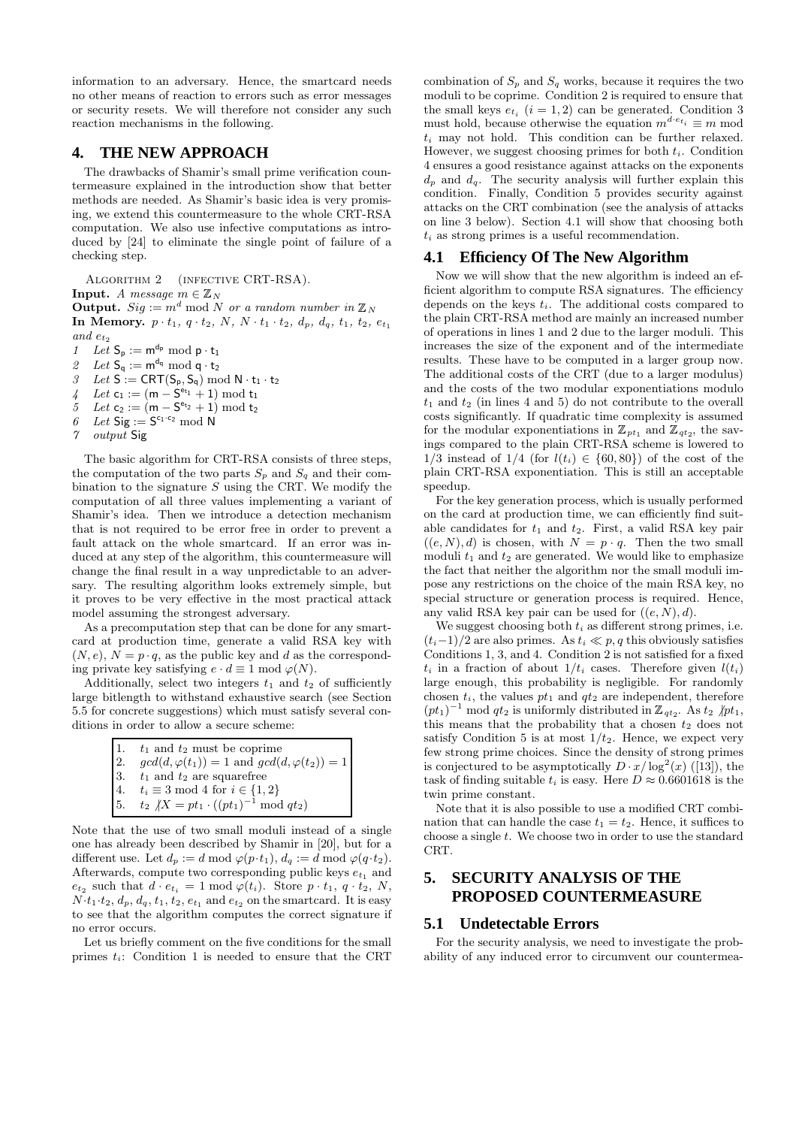information to an adversary. Hence, the smartcard needs no other means of reaction to errors such as error messages or security resets. We will therefore not consider any such reaction mechanisms in the following.

### **4. THE NEW APPROACH**

The drawbacks of Shamir's small prime verification countermeasure explained in the introduction show that better methods are needed. As Shamir's basic idea is very promising, we extend this countermeasure to the whole CRT-RSA computation. We also use infective computations as introduced by [24] to eliminate the single point of failure of a checking step.

Algorithm 2 (infective CRT-RSA). **Input.** A message  $m \in \mathbb{Z}_N$  for a random number in  $\mathbb{Z}_N$  for a random number in  $\mathbb{Z}_N$  for a random number in  $\mathbb{Z}_N$ In Memory.  $p \cdot t_1$ ,  $q \cdot t_2$ ,  $N$ ,  $N \cdot t_1 \cdot t_2$ ,  $d_p$ ,  $d_q$ ,  $t_1$ ,  $t_2$ ,  $e_{t_1}$ and  $\boldsymbol{e}_{t_2}$ 

1 Let  $S_p := m^{d_p} \mod p \cdot t_1$ 

2 Let  $\mathsf{S}_\mathsf{q} := \mathsf{m}^{\mathsf{d}_\mathsf{q}} \bmod \mathsf{q} \cdot \mathsf{t}_2$ 

 $\mathcal{I} \quad \mathit{Let} \; \mathsf{S} := \mathsf{CRT}(\mathsf{S_p}, \mathsf{S_q}) \bmod{\mathsf{N} \cdot \mathsf{t}_1 \cdot \mathsf{t}_2}$ 

4 Let  $c_1 := (m - S^{e_{t_1}} + 1) \mod t_1$ 

- 5 Let  $c_2 := (m S^{e_{t_2}} + 1) \bmod t_2$
- 6 Let  $\overline{\text{Sig}} := \text{S}^{c_1 \cdot c_2} \text{ mod } \overline{\text{N}}$
- 7 output Sig

The basic algorithm for CRT-RSA consists of three steps, the computation of the two parts  $S_p$  and  $S_q$  and their combination to the signature  $S$  using the CRT. We modify the computation of all three values implementing a variant of Shamir's idea. Then we introduce a detection mechanism that is not required to be error free in order to prevent a fault attack on the whole smartcard. If an error was induced at any step of the algorithm, this countermeasure will change the final result in a way unpredictable to an adversary. The resulting algorithm looks extremely simple, but it proves to be very effective in the most practical attack model assuming the strongest adversary.

As a precomputation step that can be done for any smartcard at production time, generate a valid RSA key with  $(N, e), N = p \cdot q$ , as the public key and d as the corresponding private key satisfying  $e \cdot d \equiv 1 \mod \varphi(N)$ .

Additionally, select two integers  $t_1$  and  $t_2$  of sufficiently large bitlength to withstand exhaustive search (see Section 5.5 for concrete suggestions) which must satisfy several conditions in order to allow a secure scheme:

| 1. | $t_1$ and $t_2$ must be coprime                           |
|----|-----------------------------------------------------------|
| 2. | $gcd(d, \varphi(t_1)) = 1$ and $gcd(d, \varphi(t_2)) = 1$ |
| 3. | $t_1$ and $t_2$ are squarefree                            |
| 4. | $t_i \equiv 3 \mod 4$ for $i \in \{1,2\}$                 |
| 5. | $t_2$ $/X = pt_1 \cdot ((pt_1)^{-1} \mod qt_2)$           |

Note that the use of two small moduli instead of a single one has already been described by Shamir in [20], but for a different use. Let  $d_p := d \mod \varphi(p \cdot t_1), d_q := d \mod \varphi(q \cdot t_2).$ Afterwards, compute two corresponding public keys  $e_{t_1}$  and  $e_{t_2}$  such that  $d \cdot e_{t_i} = 1 \mod \varphi(t_i)$ . Store  $p \cdot t_1, q \cdot t_2, N$ ,  $N \cdot t_1 \cdot t_2$ ,  $d_p$ ,  $d_q$ ,  $t_1$ ,  $t_2$ ,  $e_{t_1}$  and  $e_{t_2}$  on the smartcard. It is easy to see that the algorithm computes the correct signature if no error occurs.

Let us briefly comment on the five conditions for the small primes  $t_i$ : Condition 1 is needed to ensure that the CRT

combination of  $S_p$  and  $S_q$  works, because it requires the two moduli to be coprime. Condition 2 is required to ensure that the small keys  $e_{t_i}$   $(i = 1, 2)$  can be generated. Condition 3 must hold, because otherwise the equation  $m^{d \cdot e_{t_i}} \equiv m \mod 1$  $t_i$  may not hold. This condition can be further relaxed. However, we suggest choosing primes for both  $t_i$ . Condition 4 ensures a good resistance against attacks on the exponents  $d_p$  and  $d_q$ . The security analysis will further explain this condition. Finally, Condition 5 provides security against attacks on the CRT combination (see the analysis of attacks on line 3 below). Section 4.1 will show that choosing both  $t_i$  as strong primes is a useful recommendation.

#### **4.1 Efficiency Of The New Algorithm**

Now we will show that the new algorithm is indeed an efficient algorithm to compute RSA signatures. The efficiency depends on the keys  $t_i$ . The additional costs compared to the plain CRT-RSA method are mainly an increased number of operations in lines 1 and 2 due to the larger moduli. This increases the size of the exponent and of the intermediate results. These have to be computed in a larger group now. The additional costs of the CRT (due to a larger modulus) and the costs of the two modular exponentiations modulo  $t_1$  and  $t_2$  (in lines 4 and 5) do not contribute to the overall costs significantly. If quadratic time complexity is assumed for the modular exponentiations in  $\mathbb{Z}_{pt_1}$  and  $\mathbb{Z}_{qt_2}$ , the savings compared to the plain CRT-RSA scheme is lowered to  $1/3$  instead of  $1/4$  (for  $l(t_i) \in \{60, 80\}$ ) of the cost of the plain CRT-RSA exponentiation. This is still an acceptable speedup.

For the key generation process, which is usually performed on the card at production time, we can efficiently find suitable candidates for  $t_1$  and  $t_2$ . First, a valid RSA key pair  $((e, N), d)$  is chosen, with  $N = p \cdot q$ . Then the two small moduli  $t_1$  and  $t_2$  are generated. We would like to emphasize the fact that neither the algorithm nor the small moduli impose any restrictions on the choice of the main RSA key, no special structure or generation process is required. Hence, any valid RSA key pair can be used for  $((e, N), d)$ .

We suggest choosing both  $t_i$  as different strong primes, i.e.  $(t_i-1)/2$  are also primes. As  $t_i \ll p, q$  this obviously satisfies Conditions 1, 3, and 4. Condition 2 is not satisfied for a fixed  $t_i$  in a fraction of about  $1/t_i$  cases. Therefore given  $l(t_i)$ large enough, this probability is negligible. For randomly chosen  $t_i$ , the values  $pt_1$  and  $qt_2$  are independent, therefore  $(pt_1)^{-1} \text{ mod } qt_2$  is uniformly distributed in  $\mathbb{Z}_{qt_2}$ . As  $t_2 \not | pt_1$ , this means that the probability that a chosen  $t_2$  does not satisfy Condition 5 is at most  $1/t_2$ . Hence, we expect very few strong prime choices. Since the density of strong primes is conjectured to be asymptotically  $D \cdot x / \log^2(x)$  ([13]), the task of finding suitable  $t_i$  is easy. Here  $D \approx 0.6601618$  is the twin prime constant.

Note that it is also possible to use a modified CRT combination that can handle the case  $t_1 = t_2$ . Hence, it suffices to choose a single  $t$ . We choose two in order to use the standard CRT.

# **5. SECURITY ANALYSIS OF THE PROPOSED COUNTERMEASURE**

#### **5.1 Undetectable Errors**

For the security analysis, we need to investigate the probability of any induced error to circumvent our countermea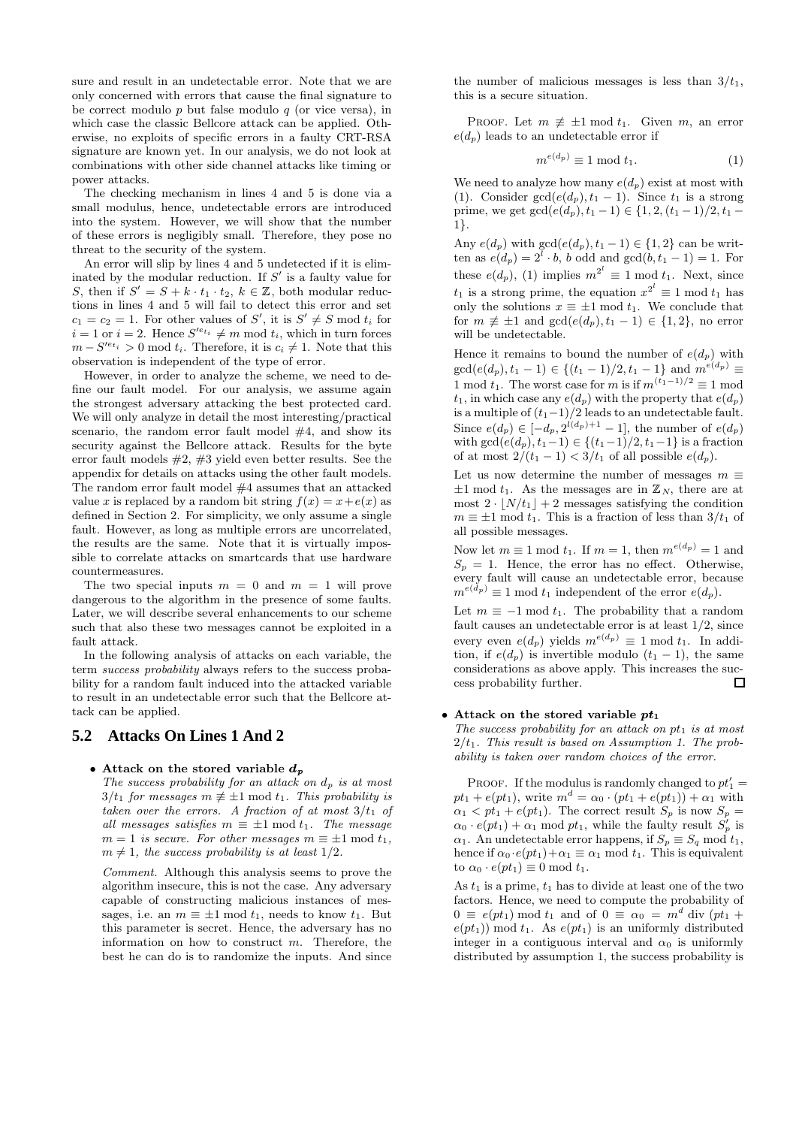sure and result in an undetectable error. Note that we are only concerned with errors that cause the final signature to be correct modulo  $p$  but false modulo  $q$  (or vice versa), in which case the classic Bellcore attack can be applied. Otherwise, no exploits of specific errors in a faulty CRT-RSA signature are known yet. In our analysis, we do not look at combinations with other side channel attacks like timing or power attacks.

The checking mechanism in lines 4 and 5 is done via a small modulus, hence, undetectable errors are introduced into the system. However, we will show that the number of these errors is negligibly small. Therefore, they pose no threat to the security of the system.

An error will slip by lines 4 and 5 undetected if it is eliminated by the modular reduction. If  $S'$  is a faulty value for S, then if  $S' = S + k \cdot t_1 \cdot t_2$ ,  $k \in \mathbb{Z}$ , both modular reductions in lines 4 and 5 will fail to detect this error and set  $c_1 = c_2 = 1$ . For other values of S', it is  $S' \neq S$  mod  $t_i$  for  $i = 1$  or  $i = 2$ . Hence  $S'^{e_{t_i}} \neq m \mod t_i$ , which in turn forces  $m - S'^{e_{t_i}} > 0$  mod  $t_i$ . Therefore, it is  $c_i \neq 1$ . Note that this observation is independent of the type of error.

However, in order to analyze the scheme, we need to define our fault model. For our analysis, we assume again the strongest adversary attacking the best protected card. We will only analyze in detail the most interesting/practical scenario, the random error fault model  $#4$ , and show its security against the Bellcore attack. Results for the byte error fault models #2, #3 yield even better results. See the appendix for details on attacks using the other fault models. The random error fault model #4 assumes that an attacked value x is replaced by a random bit string  $f(x) = x + e(x)$  as defined in Section 2. For simplicity, we only assume a single fault. However, as long as multiple errors are uncorrelated, the results are the same. Note that it is virtually impossible to correlate attacks on smartcards that use hardware countermeasures.

The two special inputs  $m = 0$  and  $m = 1$  will prove dangerous to the algorithm in the presence of some faults. Later, we will describe several enhancements to our scheme such that also these two messages cannot be exploited in a fault attack.

In the following analysis of attacks on each variable, the term success probability always refers to the success probability for a random fault induced into the attacked variable to result in an undetectable error such that the Bellcore attack can be applied.

### **5.2 Attacks On Lines 1 And 2**

#### • Attack on the stored variable  $d_p$

The success probability for an attack on  $d_p$  is at most  $3/t_1$  for messages  $m \not\equiv \pm 1 \bmod t_1$ . This probability is taken over the errors. A fraction of at most  $3/t_1$  of all messages satisfies  $m \equiv \pm 1 \mod t_1$ . The message  $m = 1$  is secure. For other messages  $m \equiv \pm 1 \mod t_1$ ,  $m \neq 1$ , the success probability is at least 1/2.

Comment. Although this analysis seems to prove the algorithm insecure, this is not the case. Any adversary capable of constructing malicious instances of messages, i.e. an  $m \equiv \pm 1 \mod t_1$ , needs to know  $t_1$ . But this parameter is secret. Hence, the adversary has no information on how to construct  $m$ . Therefore, the best he can do is to randomize the inputs. And since the number of malicious messages is less than  $3/t_1$ , this is a secure situation.

PROOF. Let  $m \neq \pm 1 \mod t_1$ . Given m, an error  $e(d_p)$  leads to an undetectable error if

$$
m^{e(d_p)} \equiv 1 \bmod t_1. \tag{1}
$$

We need to analyze how many  $e(d_p)$  exist at most with (1). Consider  $gcd(e(d_p), t_1 - 1)$ . Since  $t_1$  is a strong prime, we get  $gcd(e(d_p), t_1 - 1) \in \{1, 2, (t_1 - 1)/2, t_1 -$ 1}.

Any  $e(d_p)$  with  $gcd(e(d_p), t_1 - 1) \in \{1, 2\}$  can be written as  $e(d_p) = 2^l \cdot b$ , b odd and  $gcd(b, t_1 - 1) = 1$ . For these  $e(d_p)$ , (1) implies  $m^{2^l} \equiv 1 \mod t_1$ . Next, since  $t_1$  is a strong prime, the equation  $x^{2^l} \equiv 1 \mod t_1$  has only the solutions  $x \equiv \pm 1 \mod t_1$ . We conclude that for  $m \not\equiv \pm 1$  and  $gcd(e(d_p), t_1 - 1) \in \{1, 2\}$ , no error will be undetectable.

Hence it remains to bound the number of  $e(d_p)$  with  $gcd(e(d_p), t_1 - 1) \in \{(t_1 - 1)/2, t_1 - 1\}$  and  $m^{e(d_p)} \equiv$ 1 mod  $t_1$ . The worst case for m is if  $m^{(t_1-1)/2} \equiv 1$  mod  $t_1$ , in which case any  $e(d_p)$  with the property that  $e(d_p)$ is a multiple of  $(t_1-1)/2$  leads to an undetectable fault. Since  $e(d_p) \in [-d_p, 2^{l(d_p)+1} - 1]$ , the number of  $e(d_p)$ with  $gcd(e(d_p), t_1-1) \in \{(t_1-1)/2, t_1-1\}$  is a fraction of at most  $2/(t_1 - 1) < 3/t_1$  of all possible  $e(d_p)$ .

Let us now determine the number of messages  $m \equiv$  $\pm 1 \mod t_1$ . As the messages are in  $\mathbb{Z}_N$ , there are at most  $2 \cdot |N/t_1| + 2$  messages satisfying the condition  $m \equiv \pm 1 \mod t_1$ . This is a fraction of less than  $3/t_1$  of all possible messages.

Now let  $m \equiv 1 \mod t_1$ . If  $m = 1$ , then  $m^{e(d_p)} = 1$  and  $S_p = 1$ . Hence, the error has no effect. Otherwise, every fault will cause an undetectable error, because  $m^{e(\check{d}_p)} \equiv 1 \mod t_1$  independent of the error  $e(d_p)$ .

Let  $m \equiv -1 \mod t_1$ . The probability that a random fault causes an undetectable error is at least 1/2, since every even  $e(d_p)$  yields  $m^{e(d_p)} \equiv 1 \mod t_1$ . In addition, if  $e(d_p)$  is invertible modulo  $(t_1 - 1)$ , the same considerations as above apply. This increases the success probability further.  $\Box$ 

### • Attack on the stored variable  $pt_1$

The success probability for an attack on  $pt_1$  is at most  $2/t<sub>1</sub>$ . This result is based on Assumption 1. The probability is taken over random choices of the error.

PROOF. If the modulus is randomly changed to  $pt'_1 =$  $pt_1 + e(pt_1)$ , write  $m^d = \alpha_0 \cdot (pt_1 + e(pt_1)) + \alpha_1$  with  $\alpha_1 < pt_1 + e(pt_1)$ . The correct result  $S_p$  is now  $S_p$  $\alpha_0 \cdot e(pt_1) + \alpha_1 \text{ mod } pt_1$ , while the faulty result  $S_p^f$  is  $\alpha_1$ . An undetectable error happens, if  $S_p \equiv S_q \mod t_1$ , hence if  $\alpha_0 \cdot e(pt_1) + \alpha_1 \equiv \alpha_1 \mod t_1$ . This is equivalent to  $\alpha_0 \cdot e(pt_1) \equiv 0 \text{ mod } t_1$ .

As  $t_1$  is a prime,  $t_1$  has to divide at least one of the two factors. Hence, we need to compute the probability of  $0 \equiv e(pt_1) \mod t_1$  and of  $0 \equiv \alpha_0 = m^d$  div  $(pt_1 +$  $e(pt<sub>1</sub>)]$  mod  $t<sub>1</sub>$ . As  $e(pt<sub>1</sub>)]$  is an uniformly distributed integer in a contiguous interval and  $\alpha_0$  is uniformly distributed by assumption 1, the success probability is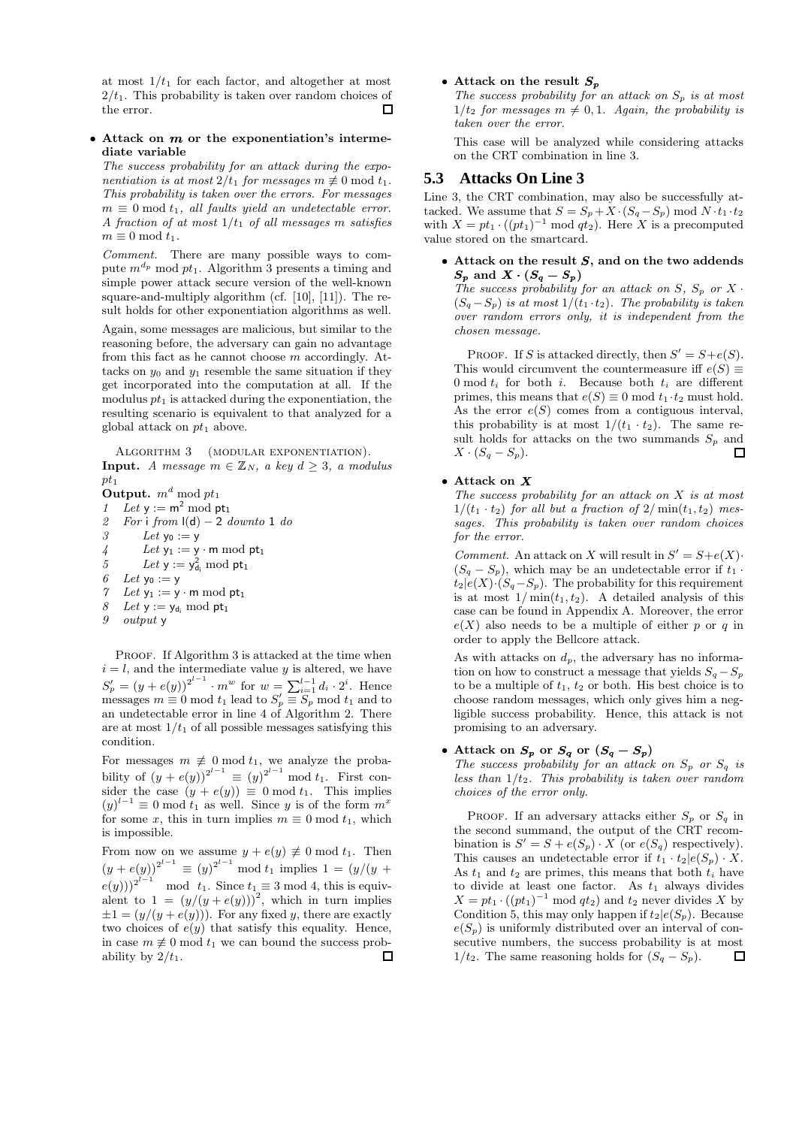at most  $1/t_1$  for each factor, and altogether at most  $2/t_1$ . This probability is taken over random choices of the error.  $\Box$ 

### $\bullet$  Attack on  $m$  or the exponentiation's intermediate variable

The success probability for an attack during the exponentiation is at most  $2/t_1$  for messages  $m \not\equiv 0 \mod t_1$ . This probability is taken over the errors. For messages  $m \equiv 0 \mod t_1$ , all faults yield an undetectable error. A fraction of at most  $1/t_1$  of all messages m satisfies  $m \equiv 0 \mod t_1$ .

Comment. There are many possible ways to compute  $m^{d_p}$  mod  $pt_1$ . Algorithm 3 presents a timing and simple power attack secure version of the well-known square-and-multiply algorithm (cf. [10], [11]). The result holds for other exponentiation algorithms as well.

Again, some messages are malicious, but similar to the reasoning before, the adversary can gain no advantage from this fact as he cannot choose m accordingly. Attacks on  $y_0$  and  $y_1$  resemble the same situation if they get incorporated into the computation at all. If the modulus  $pt_1$  is attacked during the exponentiation, the resulting scenario is equivalent to that analyzed for a global attack on  $pt_1$  above.

ALGORITHM 3 (MODULAR EXPONENTIATION). **Input.** A message  $m \in \mathbb{Z}_N$ , a key  $d \geq 3$ , a modulus  $pt_1$ 

Output.  $m^d \bmod pt_1$ 

- 1 Let  $y := m^2 \mod pt_1$
- 2 For i from  $\vert d \vert 2$  downto 1 do 3 Let  $y_0 := y$  $4$  Let  $y_1 := y \cdot m \bmod pt_1$ 5 Let  $y := y_{d_i}^2 \mod pt_1$ 6 Let  $y_0 := y$ 7 Let  $y_1 := y \cdot m \bmod pt_1$ 8 Let  $y := y_{d_i} \mod pt_1$ <br>9 output y
- 9 output y

PROOF. If Algorithm 3 is attacked at the time when  $i = l$ , and the intermediate value y is altered, we have  $S'_p = (y + e(y))^{2^{l-1}} \cdot m^w$  for  $w = \sum_{i=1}^{l-1} d_i \cdot 2^i$ . Hence messages  $m \equiv 0 \mod t_1$  lead to  $S'_p \equiv S_p \mod t_1$  and to an undetectable error in line 4 of Algorithm 2. There are at most  $1/t_1$  of all possible messages satisfying this condition.

For messages  $m \neq 0 \mod t_1$ , we analyze the probability of  $(y + e(y))^{2^{l-1}} \equiv (y)^{2^{l-1}} \mod t_1$ . First consider the case  $(y + e(y)) \equiv 0 \mod t_1$ . This implies  $(y)^{l-1} \equiv 0 \mod t_1$  as well. Since y is of the form  $m^x$ for some x, this in turn implies  $m \equiv 0 \mod t_1$ , which is impossible.

From now on we assume  $y + e(y) \neq 0 \text{ mod } t_1$ . Then  $(y + e(y))^{2^{l-1}} \equiv (y)^{2^{l-1}} \mod t_1$  implies  $1 = (y/(y +$  $(e(y)))^{2^{l-1}}$  mod  $t_1$ . Since  $t_1 \equiv 3 \mod 4$ , this is equivalent to  $1 = (y/(y + e(y)))^2$ , which in turn implies  $\pm 1 = (y/(y + e(y)))$ . For any fixed y, there are exactly two choices of  $e(y)$  that satisfy this equality. Hence, in case  $m \not\equiv 0 \mod t_1$  we can bound the success probability by  $2/t_1$ .  $\Box$ 

#### $\bullet$  Attack on the result  $S_p$

The success probability for an attack on  $S_p$  is at most  $1/t_2$  for messages  $m \neq 0, 1$ . Again, the probability is taken over the error.

This case will be analyzed while considering attacks on the CRT combination in line 3.

# **5.3 Attacks On Line 3**

Line 3, the CRT combination, may also be successfully attacked. We assume that  $S = S_p + X \cdot (S_q - S_p) \mod N \cdot t_1 \cdot t_2$ with  $X = pt_1 \cdot ((pt_1)^{-1} \mod qt_2)$ . Here X is a precomputed value stored on the smartcard.

 $\bullet$  Attack on the result  $S$ , and on the two addends  $S_p$  and  $X \cdot (S_q - S_p)$ The success probability for an attack on  $S$ ,  $S_p$  or  $X$ .  $(S_q-S_p)$  is at most  $1/(t_1 \cdot t_2)$ . The probability is taken over random errors only, it is independent from the chosen message.

PROOF. If S is attacked directly, then  $S' = S + e(S)$ . This would circumvent the countermeasure iff  $e(S) \equiv$ 0 mod  $t_i$  for both i. Because both  $t_i$  are different primes, this means that  $e(S) \equiv 0 \mod t_1 \cdot t_2$  must hold. As the error  $e(S)$  comes from a contiguous interval, this probability is at most  $1/(t_1 \cdot t_2)$ . The same result holds for attacks on the two summands  $S_p$  and  $X \cdot (S_q - S_p).$  $\Box$ 

#### • Attack on  $X$

The success probability for an attack on  $X$  is at most  $1/(t_1 \cdot t_2)$  for all but a fraction of  $2/\min(t_1,t_2)$  messages. This probability is taken over random choices for the error.

Comment. An attack on X will result in  $S' = S + e(X)$ .  $(S_q - S_p)$ , which may be an undetectable error if  $t_1$ .  $t_2|e(X)\cdot(S_q-S_p)$ . The probability for this requirement is at most  $1/\min(t_1,t_2)$ . A detailed analysis of this case can be found in Appendix A. Moreover, the error  $e(X)$  also needs to be a multiple of either p or q in order to apply the Bellcore attack.

As with attacks on  $d_p$ , the adversary has no information on how to construct a message that yields  $S_q - S_p$ to be a multiple of  $t_1$ ,  $t_2$  or both. His best choice is to choose random messages, which only gives him a negligible success probability. Hence, this attack is not promising to an adversary.

#### • Attack on  $S_p$  or  $S_q$  or  $(S_q - S_p)$

The success probability for an attack on  $S_p$  or  $S_q$  is less than  $1/t_2$ . This probability is taken over random choices of the error only.

PROOF. If an adversary attacks either  $S_p$  or  $S_q$  in the second summand, the output of the CRT recombination is  $S' = S + e(S_p) \cdot X$  (or  $e(S_q)$  respectively). This causes an undetectable error if  $t_1 \cdot t_2 | e(S_p) \cdot X$ . As  $t_1$  and  $t_2$  are primes, this means that both  $t_i$  have to divide at least one factor. As  $t_1$  always divides  $X = pt_1 \cdot ((pt_1)^{-1} \mod qt_2)$  and  $t_2$  never divides X by Condition 5, this may only happen if  $t_2|e(S_p)$ . Because  $e(S_p)$  is uniformly distributed over an interval of consecutive numbers, the success probability is at most  $1/t_2$ . The same reasoning holds for  $(S_q - S_p)$ . 囗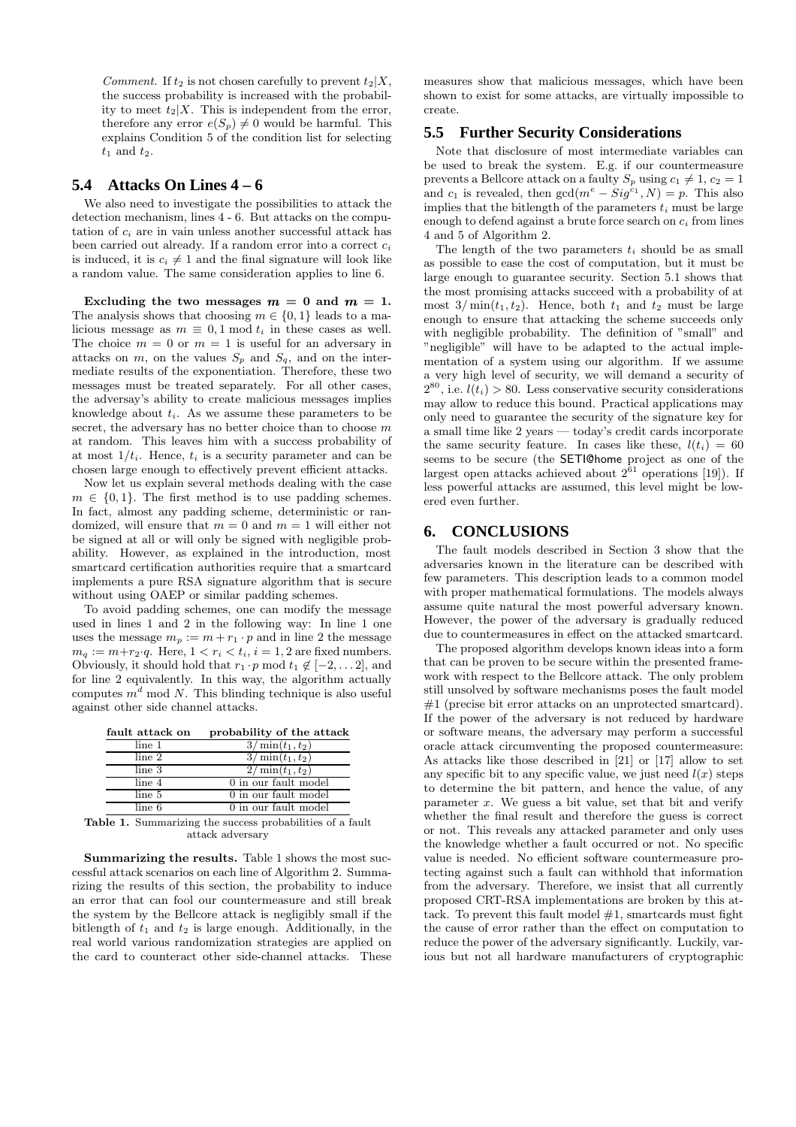Comment. If  $t_2$  is not chosen carefully to prevent  $t_2|X$ , the success probability is increased with the probability to meet  $t_2|X$ . This is independent from the error, therefore any error  $e(S_p) \neq 0$  would be harmful. This explains Condition 5 of the condition list for selecting  $t_1$  and  $t_2$ .

### **5.4 Attacks On Lines 4 – 6**

We also need to investigate the possibilities to attack the detection mechanism, lines 4 - 6. But attacks on the computation of  $c_i$  are in vain unless another successful attack has been carried out already. If a random error into a correct  $c_i$ is induced, it is  $c_i \neq 1$  and the final signature will look like a random value. The same consideration applies to line 6.

Excluding the two messages  $m = 0$  and  $m = 1$ . The analysis shows that choosing  $m \in \{0, 1\}$  leads to a malicious message as  $m \equiv 0, 1 \mod t_i$  in these cases as well. The choice  $m = 0$  or  $m = 1$  is useful for an adversary in attacks on  $m$ , on the values  $S_p$  and  $S_q$ , and on the intermediate results of the exponentiation. Therefore, these two messages must be treated separately. For all other cases, the adversay's ability to create malicious messages implies knowledge about  $t_i$ . As we assume these parameters to be secret, the adversary has no better choice than to choose  $m$ at random. This leaves him with a success probability of at most  $1/t_i$ . Hence,  $t_i$  is a security parameter and can be chosen large enough to effectively prevent efficient attacks.

Now let us explain several methods dealing with the case  $m \in \{0,1\}$ . The first method is to use padding schemes. In fact, almost any padding scheme, deterministic or randomized, will ensure that  $m = 0$  and  $m = 1$  will either not be signed at all or will only be signed with negligible probability. However, as explained in the introduction, most smartcard certification authorities require that a smartcard implements a pure RSA signature algorithm that is secure without using OAEP or similar padding schemes.

To avoid padding schemes, one can modify the message used in lines 1 and 2 in the following way: In line 1 one uses the message  $m_p := m + r_1 \cdot p$  and in line 2 the message  $m_q := m + r_2 \cdot q$ . Here,  $1 < r_i < t_i$ ,  $i = 1, 2$  are fixed numbers. Obviously, it should hold that  $r_1 \cdot p \mod t_1 \notin [-2, \ldots, 2]$ , and for line 2 equivalently. In this way, the algorithm actually computes  $m<sup>d</sup>$  mod N. This blinding technique is also useful against other side channel attacks.

| fault attack on                                       | probability of the attack |
|-------------------------------------------------------|---------------------------|
| line 1                                                | $3/\min(t_1, t_2)$        |
| line 2                                                | $3/\min(t_1, t_2)$        |
| line 3                                                | $2/\min(t_1, t_2)$        |
| line 4                                                | 0 in our fault model      |
| line 5                                                | 0 in our fault model      |
| line 6                                                | 0 in our fault model      |
| $\cdots$<br>$\sim$ $\sim$<br>$\overline{\phantom{a}}$ | . 1                       |

Table 1. Summarizing the success probabilities of a fault attack adversary

Summarizing the results. Table 1 shows the most successful attack scenarios on each line of Algorithm 2. Summarizing the results of this section, the probability to induce an error that can fool our countermeasure and still break the system by the Bellcore attack is negligibly small if the bitlength of  $t_1$  and  $t_2$  is large enough. Additionally, in the real world various randomization strategies are applied on the card to counteract other side-channel attacks. These

measures show that malicious messages, which have been shown to exist for some attacks, are virtually impossible to create.

### **5.5 Further Security Considerations**

Note that disclosure of most intermediate variables can be used to break the system. E.g. if our countermeasure prevents a Bellcore attack on a faulty  $S_p$  using  $c_1 \neq 1, c_2 = 1$ and  $c_1$  is revealed, then  $gcd(m^e - Sig^{c_1}, N) = p$ . This also implies that the bitlength of the parameters  $t_i$  must be large enough to defend against a brute force search on  $c_i$  from lines 4 and 5 of Algorithm 2.

The length of the two parameters  $t_i$  should be as small as possible to ease the cost of computation, but it must be large enough to guarantee security. Section 5.1 shows that the most promising attacks succeed with a probability of at most  $3/\min(t_1,t_2)$ . Hence, both  $t_1$  and  $t_2$  must be large enough to ensure that attacking the scheme succeeds only with negligible probability. The definition of "small" and "negligible" will have to be adapted to the actual implementation of a system using our algorithm. If we assume a very high level of security, we will demand a security of  $2^{80}$ , i.e.  $l(t_i) > 80$ . Less conservative security considerations may allow to reduce this bound. Practical applications may only need to guarantee the security of the signature key for a small time like 2 years — today's credit cards incorporate the same security feature. In cases like these,  $l(t_i) = 60$ seems to be secure (the SETI@home project as one of the largest open attacks achieved about  $2^{61}$  operations [19]). If less powerful attacks are assumed, this level might be lowered even further.

# **6. CONCLUSIONS**

The fault models described in Section 3 show that the adversaries known in the literature can be described with few parameters. This description leads to a common model with proper mathematical formulations. The models always assume quite natural the most powerful adversary known. However, the power of the adversary is gradually reduced due to countermeasures in effect on the attacked smartcard.

The proposed algorithm develops known ideas into a form that can be proven to be secure within the presented framework with respect to the Bellcore attack. The only problem still unsolved by software mechanisms poses the fault model #1 (precise bit error attacks on an unprotected smartcard). If the power of the adversary is not reduced by hardware or software means, the adversary may perform a successful oracle attack circumventing the proposed countermeasure: As attacks like those described in [21] or [17] allow to set any specific bit to any specific value, we just need  $l(x)$  steps to determine the bit pattern, and hence the value, of any parameter  $x$ . We guess a bit value, set that bit and verify whether the final result and therefore the guess is correct or not. This reveals any attacked parameter and only uses the knowledge whether a fault occurred or not. No specific value is needed. No efficient software countermeasure protecting against such a fault can withhold that information from the adversary. Therefore, we insist that all currently proposed CRT-RSA implementations are broken by this attack. To prevent this fault model  $#1$ , smartcards must fight the cause of error rather than the effect on computation to reduce the power of the adversary significantly. Luckily, various but not all hardware manufacturers of cryptographic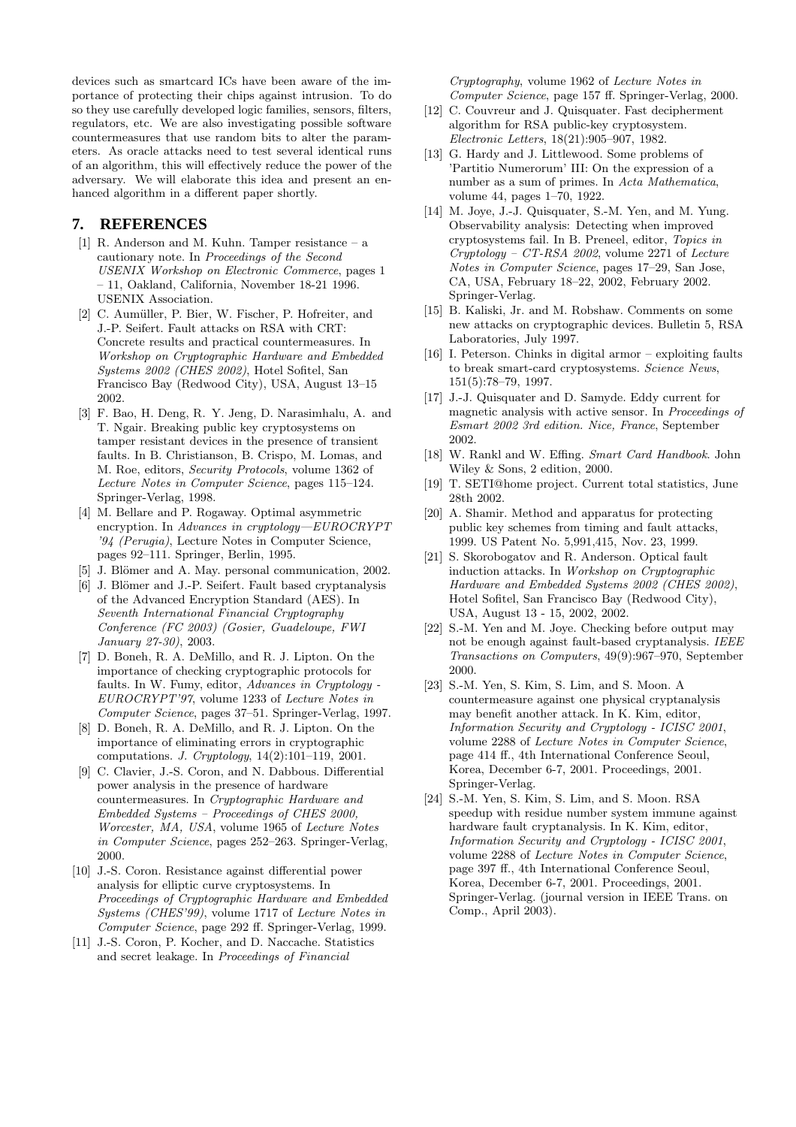devices such as smartcard ICs have been aware of the importance of protecting their chips against intrusion. To do so they use carefully developed logic families, sensors, filters, regulators, etc. We are also investigating possible software countermeasures that use random bits to alter the parameters. As oracle attacks need to test several identical runs of an algorithm, this will effectively reduce the power of the adversary. We will elaborate this idea and present an enhanced algorithm in a different paper shortly.

# **7. REFERENCES**

- [1] R. Anderson and M. Kuhn. Tamper resistance a cautionary note. In Proceedings of the Second USENIX Workshop on Electronic Commerce, pages 1 – 11, Oakland, California, November 18-21 1996. USENIX Association.
- [2] C. Aumüller, P. Bier, W. Fischer, P. Hofreiter, and J.-P. Seifert. Fault attacks on RSA with CRT: Concrete results and practical countermeasures. In Workshop on Cryptographic Hardware and Embedded Systems 2002 (CHES 2002), Hotel Sofitel, San Francisco Bay (Redwood City), USA, August 13–15 2002.
- [3] F. Bao, H. Deng, R. Y. Jeng, D. Narasimhalu, A. and T. Ngair. Breaking public key cryptosystems on tamper resistant devices in the presence of transient faults. In B. Christianson, B. Crispo, M. Lomas, and M. Roe, editors, Security Protocols, volume 1362 of Lecture Notes in Computer Science, pages 115–124. Springer-Verlag, 1998.
- [4] M. Bellare and P. Rogaway. Optimal asymmetric encryption. In Advances in cryptology—EUROCRYPT '94 (Perugia), Lecture Notes in Computer Science, pages 92–111. Springer, Berlin, 1995.
- [5] J. Blömer and A. May. personal communication, 2002.
- [6] J. Blömer and J.-P. Seifert. Fault based cryptanalysis of the Advanced Encryption Standard (AES). In Seventh International Financial Cryptography Conference (FC 2003) (Gosier, Guadeloupe, FWI January 27-30), 2003.
- [7] D. Boneh, R. A. DeMillo, and R. J. Lipton. On the importance of checking cryptographic protocols for faults. In W. Fumy, editor, Advances in Cryptology - EUROCRYPT'97, volume 1233 of Lecture Notes in Computer Science, pages 37–51. Springer-Verlag, 1997.
- [8] D. Boneh, R. A. DeMillo, and R. J. Lipton. On the importance of eliminating errors in cryptographic computations. J. Cryptology, 14(2):101–119, 2001.
- [9] C. Clavier, J.-S. Coron, and N. Dabbous. Differential power analysis in the presence of hardware countermeasures. In Cryptographic Hardware and Embedded Systems – Proceedings of CHES 2000, Worcester, MA, USA, volume 1965 of Lecture Notes in Computer Science, pages 252–263. Springer-Verlag, 2000.
- [10] J.-S. Coron. Resistance against differential power analysis for elliptic curve cryptosystems. In Proceedings of Cryptographic Hardware and Embedded Systems (CHES'99), volume 1717 of Lecture Notes in Computer Science, page 292 ff. Springer-Verlag, 1999.
- [11] J.-S. Coron, P. Kocher, and D. Naccache. Statistics and secret leakage. In Proceedings of Financial

Cryptography, volume 1962 of Lecture Notes in Computer Science, page 157 ff. Springer-Verlag, 2000.

- [12] C. Couvreur and J. Quisquater. Fast decipherment algorithm for RSA public-key cryptosystem. Electronic Letters, 18(21):905–907, 1982.
- [13] G. Hardy and J. Littlewood. Some problems of 'Partitio Numerorum' III: On the expression of a number as a sum of primes. In Acta Mathematica, volume 44, pages 1–70, 1922.
- [14] M. Joye, J.-J. Quisquater, S.-M. Yen, and M. Yung. Observability analysis: Detecting when improved cryptosystems fail. In B. Preneel, editor, Topics in Cryptology – CT-RSA 2002, volume 2271 of Lecture Notes in Computer Science, pages 17–29, San Jose, CA, USA, February 18–22, 2002, February 2002. Springer-Verlag.
- [15] B. Kaliski, Jr. and M. Robshaw. Comments on some new attacks on cryptographic devices. Bulletin 5, RSA Laboratories, July 1997.
- [16] I. Peterson. Chinks in digital armor exploiting faults to break smart-card cryptosystems. Science News, 151(5):78–79, 1997.
- [17] J.-J. Quisquater and D. Samyde. Eddy current for magnetic analysis with active sensor. In Proceedings of Esmart 2002 3rd edition. Nice, France, September 2002.
- [18] W. Rankl and W. Effing. Smart Card Handbook. John Wiley & Sons, 2 edition, 2000.
- [19] T. SETI@home project. Current total statistics, June 28th 2002.
- [20] A. Shamir. Method and apparatus for protecting public key schemes from timing and fault attacks, 1999. US Patent No. 5,991,415, Nov. 23, 1999.
- [21] S. Skorobogatov and R. Anderson. Optical fault induction attacks. In Workshop on Cryptographic Hardware and Embedded Systems 2002 (CHES 2002), Hotel Sofitel, San Francisco Bay (Redwood City), USA, August 13 - 15, 2002, 2002.
- [22] S.-M. Yen and M. Joye. Checking before output may not be enough against fault-based cryptanalysis. IEEE Transactions on Computers, 49(9):967–970, September 2000.
- [23] S.-M. Yen, S. Kim, S. Lim, and S. Moon. A countermeasure against one physical cryptanalysis may benefit another attack. In K. Kim, editor, Information Security and Cryptology - ICISC 2001, volume 2288 of Lecture Notes in Computer Science, page 414 ff., 4th International Conference Seoul, Korea, December 6-7, 2001. Proceedings, 2001. Springer-Verlag.
- [24] S.-M. Yen, S. Kim, S. Lim, and S. Moon. RSA speedup with residue number system immune against hardware fault cryptanalysis. In K. Kim, editor, Information Security and Cryptology - ICISC 2001, volume 2288 of Lecture Notes in Computer Science, page 397 ff., 4th International Conference Seoul, Korea, December 6-7, 2001. Proceedings, 2001. Springer-Verlag. (journal version in IEEE Trans. on Comp., April 2003).